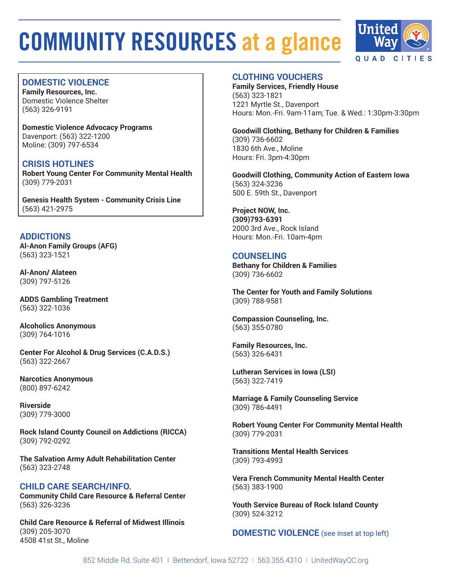

# **DOMESTIC VIOLENCE**

**Family Resources, Inc.** Domestic Violence Shelter (563) 326-9191

**Domestic Violence Advocacy Programs** Davenport: (563) 322-1200 Moline: (309) 797-6534

**CRISIS HOTLINES Robert Young Center For Community Mental Health** (309) 779-2031

**Genesis Health System - Community Crisis Line** (563) 421-2975

# **ADDICTIONS**

**Al-Anon Family Groups (AFG)** (563) 323-1521

**Al-Anon/ Alateen** (309) 797-5126

**ADDS Gambling Treatment** (563) 322-1036

**Alcoholics Anonymous** (309) 764-1016

**Center For Alcohol & Drug Services (C.A.D.S.)** (563) 322-2667

**Narcotics Anonymous** (800) 897-6242

**Riverside** (309) 779-3000

**Rock Island County Council on Addictions (RICCA)** (309) 792-0292

**The Salvation Army Adult Rehabilitation Center** (563) 323-2748

#### **CHILD CARE SEARCH/INFO. Community Child Care Resource & Referral Center** (563) 326-3236

**Child Care Resource & Referral of Midwest Illinois** (309) 205-3070 4508 41st St., Moline

# **CLOTHING VOUCHERS**

**Family Services, Friendly House** (563) 323-1821 1221 Myrtle St., Davenport Hours: Mon.-Fri. 9am-11am; Tue. & Wed.: 1:30pm-3:30pm

**Goodwill Clothing, Bethany for Children & Families** (309) 736-6602 1830 6th Ave., Moline Hours: Fri. 3pm-4:30pm

**Goodwill Clothing, Community Action of Eastern Iowa** (563) 324-3236 500 E. 59th St., Davenport

**Project NOW, Inc.**

**(309)793-6391** 2000 3rd Ave., Rock Island Hours: Mon.-Fri. 10am-4pm

# **COUNSELING**

**Bethany for Children & Families** (309) 736-6602

**The Center for Youth and Family Solutions** (309) 788-9581

**Compassion Counseling, Inc.** (563) 355-0780

**Family Resources, Inc.**  (563) 326-6431

**Lutheran Services in Iowa (LSI)**  (563) 322-7419

**Marriage & Family Counseling Service** (309) 786-4491

**Robert Young Center For Community Mental Health** (309) 779-2031

**Transitions Mental Health Services** (309) 793-4993

**Vera French Community Mental Health Center** (563) 383-1900

**Youth Service Bureau of Rock Island County** (309) 524-3212

**DOMESTIC VIOLENCE** (see inset at top left)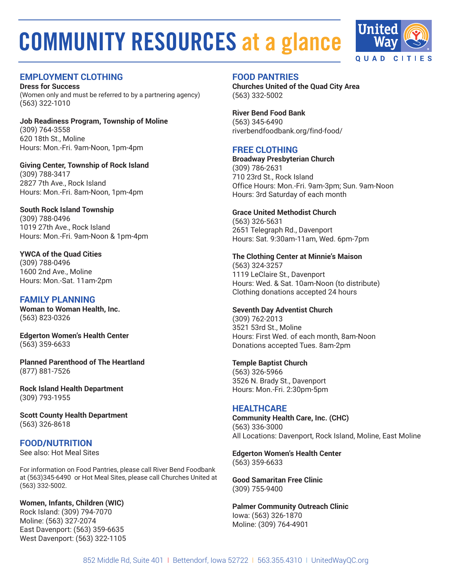

# **EMPLOYMENT CLOTHING**

**Dress for Success** (Women only and must be referred to by a partnering agency) (563) 322-1010

**Job Readiness Program, Township of Moline** (309) 764-3558 620 18th St., Moline Hours: Mon.-Fri. 9am-Noon, 1pm-4pm

**Giving Center, Township of Rock Island** (309) 788-3417 2827 7th Ave., Rock Island Hours: Mon.-Fri. 8am-Noon, 1pm-4pm

**South Rock Island Township** (309) 788-0496 1019 27th Ave., Rock Island Hours: Mon.-Fri. 9am-Noon & 1pm-4pm

**YWCA of the Quad Cities** (309) 788-0496 1600 2nd Ave., Moline Hours: Mon.-Sat. 11am-2pm

# **FAMILY PLANNING**

**Woman to Woman Health, Inc.** (563) 823-0326

**Edgerton Women's Health Center** (563) 359-6633

**Planned Parenthood of The Heartland** (877) 881-7526

**Rock Island Health Department** (309) 793-1955

**Scott County Health Department** (563) 326-8618

# **FOOD/NUTRITION**

See also: Hot Meal Sites

For information on Food Pantries, please call River Bend Foodbank at (563)345-6490 or Hot Meal Sites, please call Churches United at (563) 332-5002.

**Women, Infants, Children (WIC)** Rock Island: (309) 794-7070 Moline: (563) 327-2074 East Davenport: (563) 359-6635 West Davenport: (563) 322-1105

#### **FOOD PANTRIES**

**Churches United of the Quad City Area** (563) 332-5002

**River Bend Food Bank** (563) 345-6490 riverbendfoodbank.org/find-food/

## **FREE CLOTHING**

**Broadway Presbyterian Church** (309) 786-2631 710 23rd St., Rock Island Office Hours: Mon.-Fri. 9am-3pm; Sun. 9am-Noon Hours: 3rd Saturday of each month

#### **Grace United Methodist Church**

(563) 326-5631 2651 Telegraph Rd., Davenport Hours: Sat. 9:30am-11am, Wed. 6pm-7pm

#### **The Clothing Center at Minnie's Maison**

(563) 324-3257 1119 LeClaire St., Davenport Hours: Wed. & Sat. 10am-Noon (to distribute) Clothing donations accepted 24 hours

#### **Seventh Day Adventist Church**

(309) 762-2013 3521 53rd St., Moline Hours: First Wed. of each month, 8am-Noon Donations accepted Tues. 8am-2pm

#### **Temple Baptist Church**

(563) 326-5966 3526 N. Brady St., Davenport Hours: Mon.-Fri. 2:30pm-5pm

#### **HEALTHCARE**

**Community Health Care, Inc. (CHC)** (563) 336-3000 All Locations: Davenport, Rock Island, Moline, East Moline

**Edgerton Women's Health Center** (563) 359-6633

**Good Samaritan Free Clinic** (309) 755-9400

**Palmer Community Outreach Clinic** Iowa: (563) 326-1870 Moline: (309) 764-4901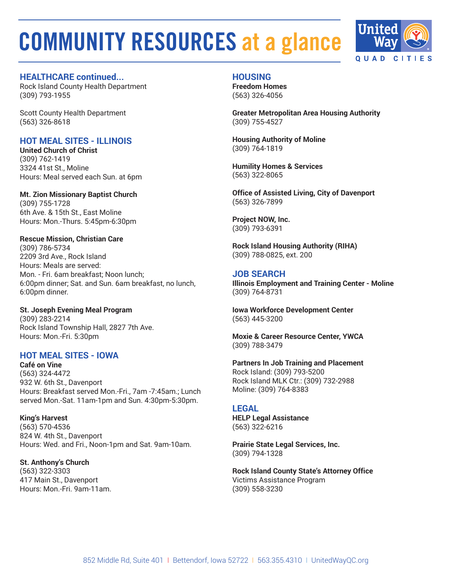

### **HEALTHCARE continued...**

Rock Island County Health Department (309) 793-1955

Scott County Health Department (563) 326-8618

# **HOT MEAL SITES - ILLINOIS**

**United Church of Christ** (309) 762-1419 3324 41st St., Moline Hours: Meal served each Sun. at 6pm

**Mt. Zion Missionary Baptist Church** (309) 755-1728 6th Ave. & 15th St., East Moline Hours: Mon.-Thurs. 5:45pm-6:30pm

### **Rescue Mission, Christian Care** (309) 786-5734 2209 3rd Ave., Rock Island

Hours: Meals are served: Mon. - Fri. 6am breakfast; Noon lunch; 6:00pm dinner; Sat. and Sun. 6am breakfast, no lunch, 6:00pm dinner.

# **St. Joseph Evening Meal Program**

(309) 283-2214 Rock Island Township Hall, 2827 7th Ave. Hours: Mon.-Fri. 5:30pm

# **HOT MEAL SITES - IOWA**

**Café on Vine** (563) 324-4472 932 W. 6th St., Davenport Hours: Breakfast served Mon.-Fri., 7am -7:45am.; Lunch served Mon.-Sat. 11am-1pm and Sun. 4:30pm-5:30pm.

**King's Harvest** (563) 570-4536 824 W. 4th St., Davenport Hours: Wed. and Fri., Noon-1pm and Sat. 9am-10am.

**St. Anthony's Church** (563) 322-3303 417 Main St., Davenport Hours: Mon.-Fri. 9am-11am.

# **HOUSING**

**Freedom Homes**  (563) 326-4056

**Greater Metropolitan Area Housing Authority** (309) 755-4527

**Housing Authority of Moline** (309) 764-1819

**Humility Homes & Services**  (563) 322-8065

**Office of Assisted Living, City of Davenport** (563) 326-7899

**Project NOW, Inc.** (309) 793-6391

**Rock Island Housing Authority (RIHA)**  (309) 788-0825, ext. 200

# **JOB SEARCH**

**Illinois Employment and Training Center - Moline** (309) 764-8731

**Iowa Workforce Development Center** (563) 445-3200

**Moxie & Career Resource Center, YWCA**  (309) 788-3479

**Partners In Job Training and Placement** Rock Island: (309) 793-5200 Rock Island MLK Ctr.: (309) 732-2988 Moline: (309) 764-8383

#### **LEGAL**

**HELP Legal Assistance** (563) 322-6216

**Prairie State Legal Services, Inc.**  (309) 794-1328

**Rock Island County State's Attorney Office** Victims Assistance Program (309) 558-3230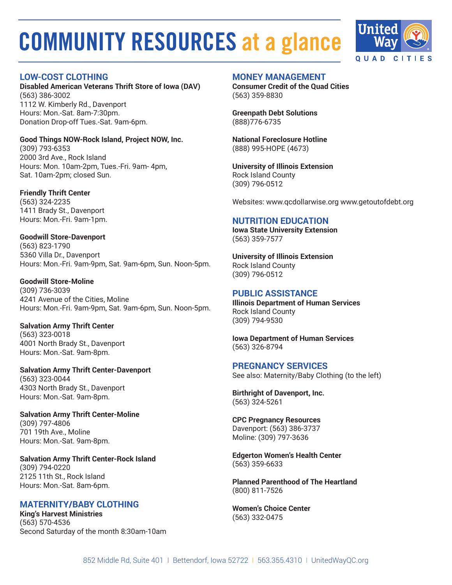

# **LOW-COST CLOTHING**

**Disabled American Veterans Thrift Store of Iowa (DAV)** (563) 386-3002 1112 W. Kimberly Rd., Davenport Hours: Mon.-Sat. 8am-7:30pm. Donation Drop-off Tues.-Sat. 9am-6pm.

**Good Things NOW-Rock Island, Project NOW, Inc.** (309) 793-6353 2000 3rd Ave., Rock Island Hours: Mon. 10am-2pm, Tues.-Fri. 9am- 4pm, Sat. 10am-2pm; closed Sun.

**Friendly Thrift Center** (563) 324-2235 1411 Brady St., Davenport Hours: Mon.-Fri. 9am-1pm.

**Goodwill Store-Davenport** (563) 823-1790 5360 Villa Dr., Davenport Hours: Mon.-Fri. 9am-9pm, Sat. 9am-6pm, Sun. Noon-5pm.

**Goodwill Store-Moline** (309) 736-3039 4241 Avenue of the Cities, Moline Hours: Mon.-Fri. 9am-9pm, Sat. 9am-6pm, Sun. Noon-5pm.

**Salvation Army Thrift Center** (563) 323-0018 4001 North Brady St., Davenport Hours: Mon.-Sat. 9am-8pm.

**Salvation Army Thrift Center-Davenport** (563) 323-0044 4303 North Brady St., Davenport Hours: Mon.-Sat. 9am-8pm.

**Salvation Army Thrift Center-Moline** (309) 797-4806 701 19th Ave., Moline Hours: Mon.-Sat. 9am-8pm.

**Salvation Army Thrift Center-Rock Island** (309) 794-0220 2125 11th St., Rock Island Hours: Mon.-Sat. 8am-6pm.

# **MATERNITY/BABY CLOTHING**

**King's Harvest Ministries** (563) 570-4536 Second Saturday of the month 8:30am-10am

#### **MONEY MANAGEMENT**

**Consumer Credit of the Quad Cities** (563) 359-8830

**Greenpath Debt Solutions** (888)776-6735

**National Foreclosure Hotline** (888) 995-HOPE (4673)

**University of Illinois Extension** Rock Island County (309) 796-0512

Websites: www.qcdollarwise.org www.getoutofdebt.org

# **NUTRITION EDUCATION**

**Iowa State University Extension** (563) 359-7577

**University of Illinois Extension** Rock Island County (309) 796-0512

# **PUBLIC ASSISTANCE**

**Illinois Department of Human Services** Rock Island County (309) 794-9530

**Iowa Department of Human Services** (563) 326-8794

**PREGNANCY SERVICES** See also: Maternity/Baby Clothing (to the left)

**Birthright of Davenport, Inc.** (563) 324-5261

**CPC Pregnancy Resources** Davenport: (563) 386-3737 Moline: (309) 797-3636

**Edgerton Women's Health Center** (563) 359-6633

**Planned Parenthood of The Heartland** (800) 811-7526

**Women's Choice Center** (563) 332-0475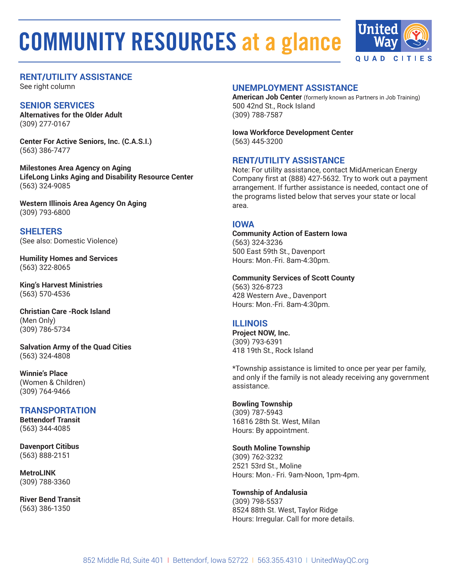

# **RENT/UTILITY ASSISTANCE**

See right column

# **SENIOR SERVICES**

**Alternatives for the Older Adult**  (309) 277-0167

**Center For Active Seniors, Inc. (C.A.S.I.)**  (563) 386-7477

**Milestones Area Agency on Aging LifeLong Links Aging and Disability Resource Center** (563) 324-9085

**Western Illinois Area Agency On Aging** (309) 793-6800

**SHELTERS** (See also: Domestic Violence)

**Humility Homes and Services** (563) 322-8065

**King's Harvest Ministries** (563) 570-4536

**Christian Care -Rock Island** (Men Only) (309) 786-5734

**Salvation Army of the Quad Cities** (563) 324-4808

**Winnie's Place** (Women & Children) (309) 764-9466

# **TRANSPORTATION**

**Bettendorf Transit** (563) 344-4085

**Davenport Citibus** (563) 888-2151

**MetroLINK** (309) 788-3360

**River Bend Transit** (563) 386-1350

## **UNEMPLOYMENT ASSISTANCE**

**American Job Center** (formerly known as Partners in Job Training) 500 42nd St., Rock Island (309) 788-7587

**Iowa Workforce Development Center** (563) 445-3200

# **RENT/UTILITY ASSISTANCE**

Note: For utility assistance, contact MidAmerican Energy Company first at (888) 427-5632. Try to work out a payment arrangement. If further assistance is needed, contact one of the programs listed below that serves your state or local area.

# **IOWA**

**Community Action of Eastern Iowa** (563) 324-3236 500 East 59th St., Davenport Hours: Mon.-Fri. 8am-4:30pm.

#### **Community Services of Scott County**

(563) 326-8723 428 Western Ave., Davenport Hours: Mon.-Fri. 8am-4:30pm.

# **ILLINOIS**

**Project NOW, Inc.** (309) 793-6391 418 19th St., Rock Island

\*Township assistance is limited to once per year per family, and only if the family is not aleady receiving any government assistance.

#### **Bowling Township**

(309) 787-5943 16816 28th St. West, Milan Hours: By appointment.

#### **South Moline Township**

(309) 762-3232 2521 53rd St., Moline Hours: Mon.- Fri. 9am-Noon, 1pm-4pm.

#### **Township of Andalusia**

(309) 798-5537 8524 88th St. West, Taylor Ridge Hours: Irregular. Call for more details.